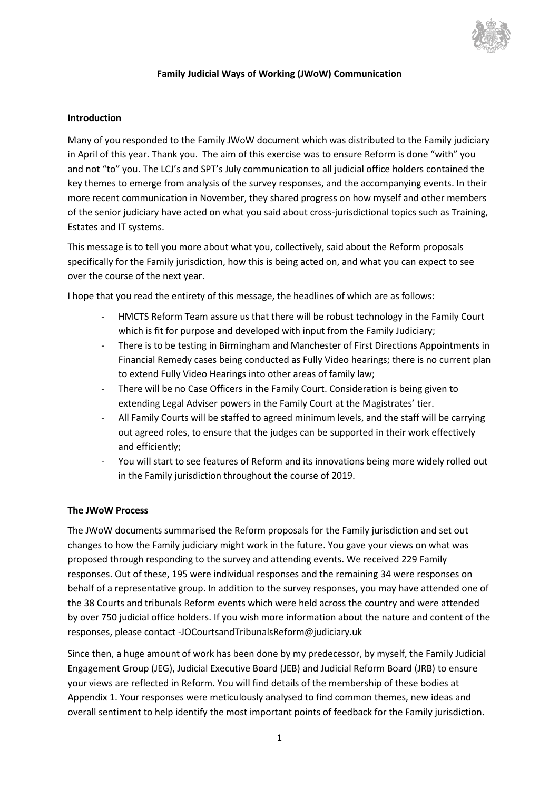

### **Family Judicial Ways of Working (JWoW) Communication**

#### **Introduction**

Many of you responded to the Family JWoW document which was distributed to the Family judiciary in April of this year. Thank you. The aim of this exercise was to ensure Reform is done "with" you and not "to" you. The LCJ's and SPT's July communication to all judicial office holders contained the key themes to emerge from analysis of the survey responses, and the accompanying events. In their more recent communication in November, they shared progress on how myself and other members of the senior judiciary have acted on what you said about cross-jurisdictional topics such as Training, Estates and IT systems.

This message is to tell you more about what you, collectively, said about the Reform proposals specifically for the Family jurisdiction, how this is being acted on, and what you can expect to see over the course of the next year.

I hope that you read the entirety of this message, the headlines of which are as follows:

- HMCTS Reform Team assure us that there will be robust technology in the Family Court which is fit for purpose and developed with input from the Family Judiciary;
- There is to be testing in Birmingham and Manchester of First Directions Appointments in Financial Remedy cases being conducted as Fully Video hearings; there is no current plan to extend Fully Video Hearings into other areas of family law;
- There will be no Case Officers in the Family Court. Consideration is being given to extending Legal Adviser powers in the Family Court at the Magistrates' tier.
- All Family Courts will be staffed to agreed minimum levels, and the staff will be carrying out agreed roles, to ensure that the judges can be supported in their work effectively and efficiently;
- You will start to see features of Reform and its innovations being more widely rolled out in the Family jurisdiction throughout the course of 2019.

#### **The JWoW Process**

The JWoW documents summarised the Reform proposals for the Family jurisdiction and set out changes to how the Family judiciary might work in the future. You gave your views on what was proposed through responding to the survey and attending events. We received 229 Family responses. Out of these, 195 were individual responses and the remaining 34 were responses on behalf of a representative group. In addition to the survey responses, you may have attended one of the 38 Courts and tribunals Reform events which were held across the country and were attended by over 750 judicial office holders. If you wish more information about the nature and content of the responses, please contact -JOCourtsandTribunalsReform@judiciary.uk

Since then, a huge amount of work has been done by my predecessor, by myself, the Family Judicial Engagement Group (JEG), Judicial Executive Board (JEB) and Judicial Reform Board (JRB) to ensure your views are reflected in Reform. You will find details of the membership of these bodies at Appendix 1. Your responses were meticulously analysed to find common themes, new ideas and overall sentiment to help identify the most important points of feedback for the Family jurisdiction.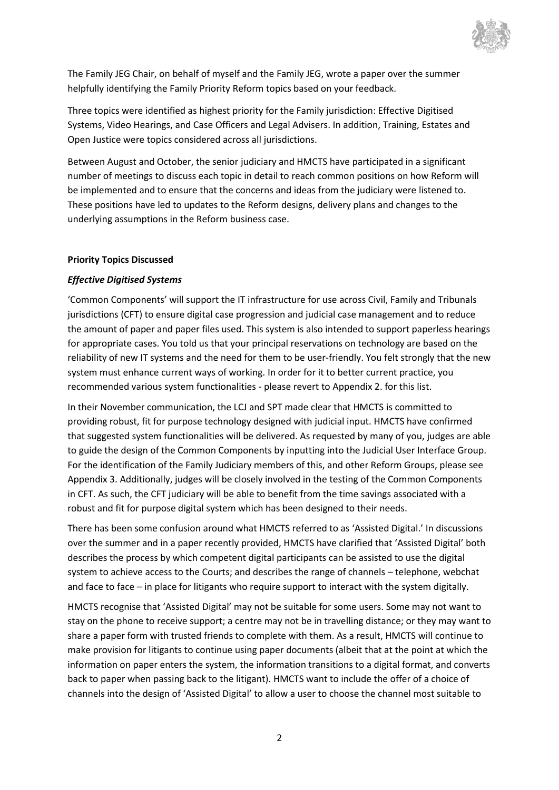

The Family JEG Chair, on behalf of myself and the Family JEG, wrote a paper over the summer helpfully identifying the Family Priority Reform topics based on your feedback.

Three topics were identified as highest priority for the Family jurisdiction: Effective Digitised Systems, Video Hearings, and Case Officers and Legal Advisers. In addition, Training, Estates and Open Justice were topics considered across all jurisdictions.

Between August and October, the senior judiciary and HMCTS have participated in a significant number of meetings to discuss each topic in detail to reach common positions on how Reform will be implemented and to ensure that the concerns and ideas from the judiciary were listened to. These positions have led to updates to the Reform designs, delivery plans and changes to the underlying assumptions in the Reform business case.

#### **Priority Topics Discussed**

## *Effective Digitised Systems*

'Common Components' will support the IT infrastructure for use across Civil, Family and Tribunals jurisdictions (CFT) to ensure digital case progression and judicial case management and to reduce the amount of paper and paper files used. This system is also intended to support paperless hearings for appropriate cases. You told us that your principal reservations on technology are based on the reliability of new IT systems and the need for them to be user-friendly. You felt strongly that the new system must enhance current ways of working. In order for it to better current practice, you recommended various system functionalities - please revert to Appendix 2. for this list.

In their November communication, the LCJ and SPT made clear that HMCTS is committed to providing robust, fit for purpose technology designed with judicial input. HMCTS have confirmed that suggested system functionalities will be delivered. As requested by many of you, judges are able to guide the design of the Common Components by inputting into the Judicial User Interface Group. For the identification of the Family Judiciary members of this, and other Reform Groups, please see Appendix 3. Additionally, judges will be closely involved in the testing of the Common Components in CFT. As such, the CFT judiciary will be able to benefit from the time savings associated with a robust and fit for purpose digital system which has been designed to their needs.

There has been some confusion around what HMCTS referred to as 'Assisted Digital.' In discussions over the summer and in a paper recently provided, HMCTS have clarified that 'Assisted Digital' both describes the process by which competent digital participants can be assisted to use the digital system to achieve access to the Courts; and describes the range of channels – telephone, webchat and face to face – in place for litigants who require support to interact with the system digitally.

HMCTS recognise that 'Assisted Digital' may not be suitable for some users. Some may not want to stay on the phone to receive support; a centre may not be in travelling distance; or they may want to share a paper form with trusted friends to complete with them. As a result, HMCTS will continue to make provision for litigants to continue using paper documents (albeit that at the point at which the information on paper enters the system, the information transitions to a digital format, and converts back to paper when passing back to the litigant). HMCTS want to include the offer of a choice of channels into the design of 'Assisted Digital' to allow a user to choose the channel most suitable to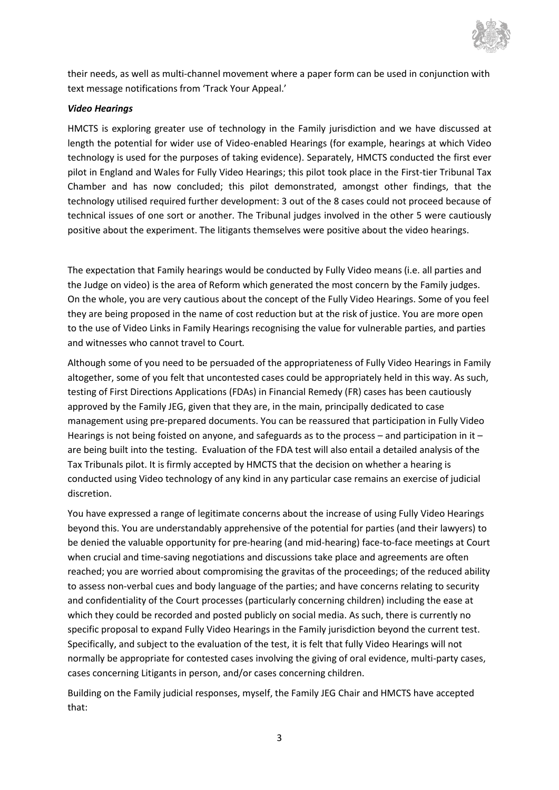

their needs, as well as multi-channel movement where a paper form can be used in conjunction with text message notifications from 'Track Your Appeal.'

### *Video Hearings*

HMCTS is exploring greater use of technology in the Family jurisdiction and we have discussed at length the potential for wider use of Video-enabled Hearings (for example, hearings at which Video technology is used for the purposes of taking evidence). Separately, HMCTS conducted the first ever pilot in England and Wales for Fully Video Hearings; this pilot took place in the First-tier Tribunal Tax Chamber and has now concluded; this pilot demonstrated, amongst other findings, that the technology utilised required further development: 3 out of the 8 cases could not proceed because of technical issues of one sort or another. The Tribunal judges involved in the other 5 were cautiously positive about the experiment. The litigants themselves were positive about the video hearings.

The expectation that Family hearings would be conducted by Fully Video means (i.e. all parties and the Judge on video) is the area of Reform which generated the most concern by the Family judges. On the whole, you are very cautious about the concept of the Fully Video Hearings. Some of you feel they are being proposed in the name of cost reduction but at the risk of justice. You are more open to the use of Video Links in Family Hearings recognising the value for vulnerable parties, and parties and witnesses who cannot travel to Court*.*

Although some of you need to be persuaded of the appropriateness of Fully Video Hearings in Family altogether, some of you felt that uncontested cases could be appropriately held in this way. As such, testing of First Directions Applications (FDAs) in Financial Remedy (FR) cases has been cautiously approved by the Family JEG, given that they are, in the main, principally dedicated to case management using pre-prepared documents. You can be reassured that participation in Fully Video Hearings is not being foisted on anyone, and safeguards as to the process – and participation in it – are being built into the testing. Evaluation of the FDA test will also entail a detailed analysis of the Tax Tribunals pilot. It is firmly accepted by HMCTS that the decision on whether a hearing is conducted using Video technology of any kind in any particular case remains an exercise of judicial discretion.

You have expressed a range of legitimate concerns about the increase of using Fully Video Hearings beyond this. You are understandably apprehensive of the potential for parties (and their lawyers) to be denied the valuable opportunity for pre-hearing (and mid-hearing) face-to-face meetings at Court when crucial and time-saving negotiations and discussions take place and agreements are often reached; you are worried about compromising the gravitas of the proceedings; of the reduced ability to assess non-verbal cues and body language of the parties; and have concerns relating to security and confidentiality of the Court processes (particularly concerning children) including the ease at which they could be recorded and posted publicly on social media. As such, there is currently no specific proposal to expand Fully Video Hearings in the Family jurisdiction beyond the current test. Specifically, and subject to the evaluation of the test, it is felt that fully Video Hearings will not normally be appropriate for contested cases involving the giving of oral evidence, multi-party cases, cases concerning Litigants in person, and/or cases concerning children.

Building on the Family judicial responses, myself, the Family JEG Chair and HMCTS have accepted that: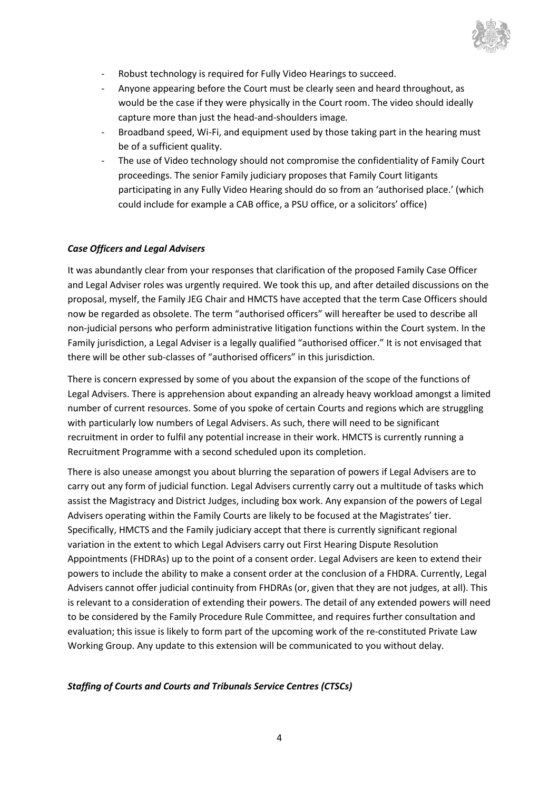

- Robust technology is required for Fully Video Hearings to succeed.
- Anyone appearing before the Court must be clearly seen and heard throughout, as would be the case if they were physically in the Court room. The video should ideally capture more than just the head-and-shoulders image*.*
- Broadband speed, Wi-Fi, and equipment used by those taking part in the hearing must be of a sufficient quality.
- The use of Video technology should not compromise the confidentiality of Family Court proceedings. The senior Family judiciary proposes that Family Court litigants participating in any Fully Video Hearing should do so from an 'authorised place.' (which could include for example a CAB office, a PSU office, or a solicitors' office)

## *Case Officers and Legal Advisers*

It was abundantly clear from your responses that clarification of the proposed Family Case Officer and Legal Adviser roles was urgently required. We took this up, and after detailed discussions on the proposal, myself, the Family JEG Chair and HMCTS have accepted that the term Case Officers should now be regarded as obsolete. The term "authorised officers" will hereafter be used to describe all non-judicial persons who perform administrative litigation functions within the Court system. In the Family jurisdiction, a Legal Adviser is a legally qualified "authorised officer." It is not envisaged that there will be other sub-classes of "authorised officers" in this jurisdiction.

There is concern expressed by some of you about the expansion of the scope of the functions of Legal Advisers. There is apprehension about expanding an already heavy workload amongst a limited number of current resources. Some of you spoke of certain Courts and regions which are struggling with particularly low numbers of Legal Advisers. As such, there will need to be significant recruitment in order to fulfil any potential increase in their work. HMCTS is currently running a Recruitment Programme with a second scheduled upon its completion.

There is also unease amongst you about blurring the separation of powers if Legal Advisers are to carry out any form of judicial function. Legal Advisers currently carry out a multitude of tasks which assist the Magistracy and District Judges, including box work. Any expansion of the powers of Legal Advisers operating within the Family Courts are likely to be focused at the Magistrates' tier. Specifically, HMCTS and the Family judiciary accept that there is currently significant regional variation in the extent to which Legal Advisers carry out First Hearing Dispute Resolution Appointments (FHDRAs) up to the point of a consent order. Legal Advisers are keen to extend their powers to include the ability to make a consent order at the conclusion of a FHDRA. Currently, Legal Advisers cannot offer judicial continuity from FHDRAs (or, given that they are not judges, at all). This is relevant to a consideration of extending their powers. The detail of any extended powers will need to be considered by the Family Procedure Rule Committee, and requires further consultation and evaluation; this issue is likely to form part of the upcoming work of the re-constituted Private Law Working Group. Any update to this extension will be communicated to you without delay.

#### *Staffing of Courts and Courts and Tribunals Service Centres (CTSCs)*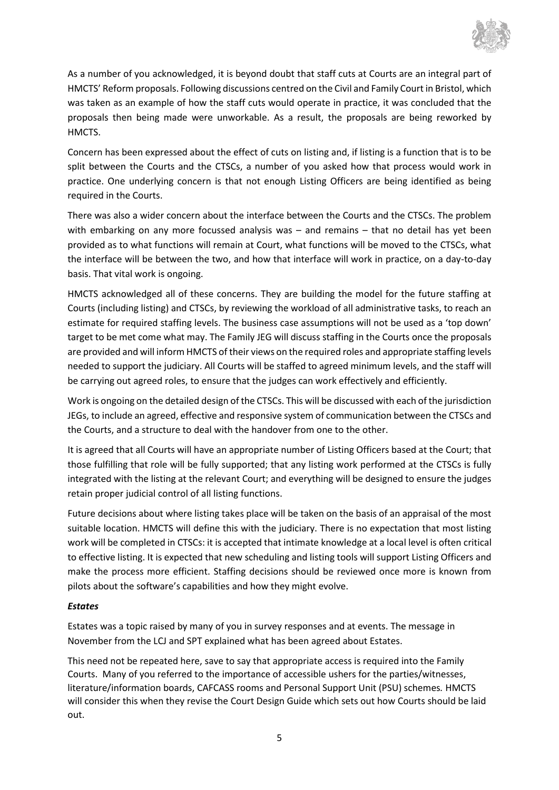

As a number of you acknowledged, it is beyond doubt that staff cuts at Courts are an integral part of HMCTS' Reform proposals. Following discussions centred on the Civil and Family Court in Bristol, which was taken as an example of how the staff cuts would operate in practice, it was concluded that the proposals then being made were unworkable. As a result, the proposals are being reworked by HMCTS.

Concern has been expressed about the effect of cuts on listing and, if listing is a function that is to be split between the Courts and the CTSCs, a number of you asked how that process would work in practice. One underlying concern is that not enough Listing Officers are being identified as being required in the Courts.

There was also a wider concern about the interface between the Courts and the CTSCs. The problem with embarking on any more focussed analysis was - and remains - that no detail has yet been provided as to what functions will remain at Court, what functions will be moved to the CTSCs, what the interface will be between the two, and how that interface will work in practice, on a day-to-day basis. That vital work is ongoing.

HMCTS acknowledged all of these concerns. They are building the model for the future staffing at Courts (including listing) and CTSCs, by reviewing the workload of all administrative tasks, to reach an estimate for required staffing levels. The business case assumptions will not be used as a 'top down' target to be met come what may. The Family JEG will discuss staffing in the Courts once the proposals are provided and will inform HMCTS of their views on the required roles and appropriate staffing levels needed to support the judiciary. All Courts will be staffed to agreed minimum levels, and the staff will be carrying out agreed roles, to ensure that the judges can work effectively and efficiently.

Work is ongoing on the detailed design of the CTSCs. This will be discussed with each of the jurisdiction JEGs, to include an agreed, effective and responsive system of communication between the CTSCs and the Courts, and a structure to deal with the handover from one to the other.

It is agreed that all Courts will have an appropriate number of Listing Officers based at the Court; that those fulfilling that role will be fully supported; that any listing work performed at the CTSCs is fully integrated with the listing at the relevant Court; and everything will be designed to ensure the judges retain proper judicial control of all listing functions.

Future decisions about where listing takes place will be taken on the basis of an appraisal of the most suitable location. HMCTS will define this with the judiciary. There is no expectation that most listing work will be completed in CTSCs: it is accepted that intimate knowledge at a local level is often critical to effective listing. It is expected that new scheduling and listing tools will support Listing Officers and make the process more efficient. Staffing decisions should be reviewed once more is known from pilots about the software's capabilities and how they might evolve.

## *Estates*

Estates was a topic raised by many of you in survey responses and at events. The message in November from the LCJ and SPT explained what has been agreed about Estates.

This need not be repeated here, save to say that appropriate access is required into the Family Courts. Many of you referred to the importance of accessible ushers for the parties/witnesses, literature/information boards, CAFCASS rooms and Personal Support Unit (PSU) schemes*.* HMCTS will consider this when they revise the Court Design Guide which sets out how Courts should be laid out.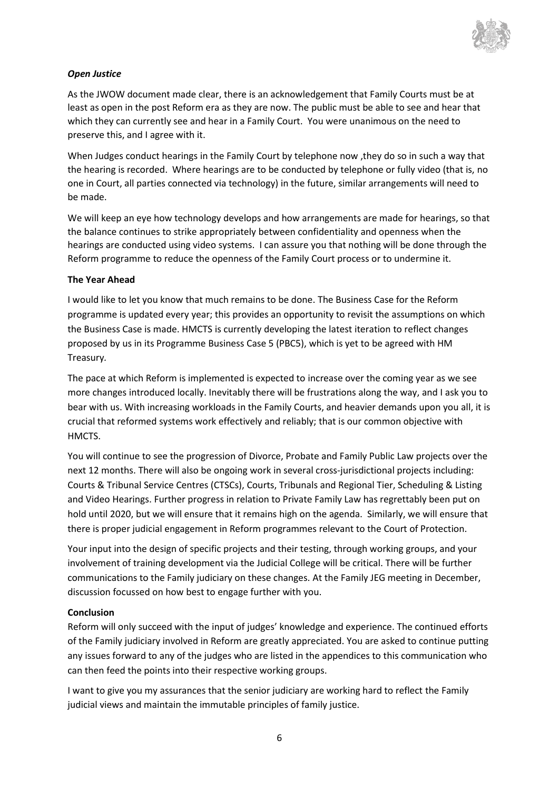

## *Open Justice*

As the JWOW document made clear, there is an acknowledgement that Family Courts must be at least as open in the post Reform era as they are now. The public must be able to see and hear that which they can currently see and hear in a Family Court. You were unanimous on the need to preserve this, and I agree with it.

When Judges conduct hearings in the Family Court by telephone now ,they do so in such a way that the hearing is recorded. Where hearings are to be conducted by telephone or fully video (that is, no one in Court, all parties connected via technology) in the future, similar arrangements will need to be made.

We will keep an eye how technology develops and how arrangements are made for hearings, so that the balance continues to strike appropriately between confidentiality and openness when the hearings are conducted using video systems. I can assure you that nothing will be done through the Reform programme to reduce the openness of the Family Court process or to undermine it.

#### **The Year Ahead**

I would like to let you know that much remains to be done. The Business Case for the Reform programme is updated every year; this provides an opportunity to revisit the assumptions on which the Business Case is made. HMCTS is currently developing the latest iteration to reflect changes proposed by us in its Programme Business Case 5 (PBC5), which is yet to be agreed with HM Treasury*.*

The pace at which Reform is implemented is expected to increase over the coming year as we see more changes introduced locally. Inevitably there will be frustrations along the way, and I ask you to bear with us. With increasing workloads in the Family Courts, and heavier demands upon you all, it is crucial that reformed systems work effectively and reliably; that is our common objective with HMCTS.

You will continue to see the progression of Divorce, Probate and Family Public Law projects over the next 12 months. There will also be ongoing work in several cross-jurisdictional projects including: Courts & Tribunal Service Centres (CTSCs), Courts, Tribunals and Regional Tier, Scheduling & Listing and Video Hearings. Further progress in relation to Private Family Law has regrettably been put on hold until 2020, but we will ensure that it remains high on the agenda. Similarly, we will ensure that there is proper judicial engagement in Reform programmes relevant to the Court of Protection.

Your input into the design of specific projects and their testing, through working groups, and your involvement of training development via the Judicial College will be critical. There will be further communications to the Family judiciary on these changes. At the Family JEG meeting in December, discussion focussed on how best to engage further with you.

#### **Conclusion**

Reform will only succeed with the input of judges' knowledge and experience. The continued efforts of the Family judiciary involved in Reform are greatly appreciated. You are asked to continue putting any issues forward to any of the judges who are listed in the appendices to this communication who can then feed the points into their respective working groups.

I want to give you my assurances that the senior judiciary are working hard to reflect the Family judicial views and maintain the immutable principles of family justice.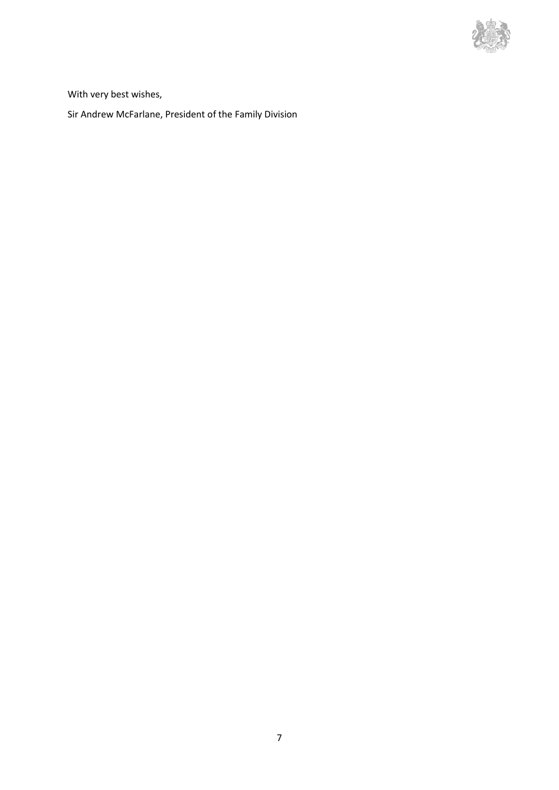

With very best wishes,

Sir Andrew McFarlane, President of the Family Division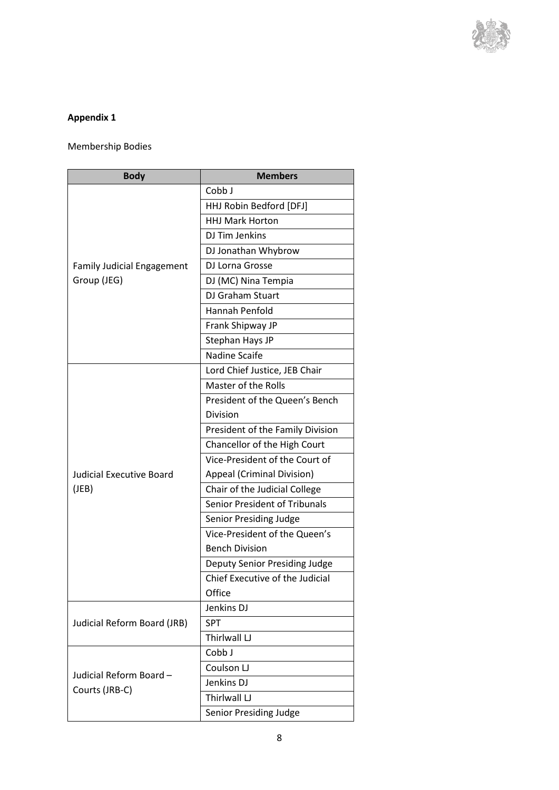

# **Appendix 1**

Membership Bodies

| <b>Body</b>                                      | <b>Members</b>                   |
|--------------------------------------------------|----------------------------------|
| <b>Family Judicial Engagement</b><br>Group (JEG) | Cobb J                           |
|                                                  | HHJ Robin Bedford [DFJ]          |
|                                                  | <b>HHJ Mark Horton</b>           |
|                                                  | DJ Tim Jenkins                   |
|                                                  | DJ Jonathan Whybrow              |
|                                                  | DJ Lorna Grosse                  |
|                                                  | DJ (MC) Nina Tempia              |
|                                                  | DJ Graham Stuart                 |
|                                                  | Hannah Penfold                   |
|                                                  | Frank Shipway JP                 |
|                                                  | Stephan Hays JP                  |
|                                                  | <b>Nadine Scaife</b>             |
| <b>Judicial Executive Board</b><br>(JEB)         | Lord Chief Justice, JEB Chair    |
|                                                  | Master of the Rolls              |
|                                                  | President of the Queen's Bench   |
|                                                  | Division                         |
|                                                  | President of the Family Division |
|                                                  | Chancellor of the High Court     |
|                                                  | Vice-President of the Court of   |
|                                                  | Appeal (Criminal Division)       |
|                                                  | Chair of the Judicial College    |
|                                                  | Senior President of Tribunals    |
|                                                  | Senior Presiding Judge           |
|                                                  | Vice-President of the Queen's    |
|                                                  | <b>Bench Division</b>            |
|                                                  | Deputy Senior Presiding Judge    |
|                                                  | Chief Executive of the Judicial  |
|                                                  | Office                           |
| Judicial Reform Board (JRB)                      | Jenkins DJ                       |
|                                                  | <b>SPT</b>                       |
|                                                  | Thirlwall LJ                     |
| Judicial Reform Board-<br>Courts (JRB-C)         | Cobb J                           |
|                                                  | Coulson LJ                       |
|                                                  | Jenkins DJ                       |
|                                                  | Thirlwall LJ                     |
|                                                  | Senior Presiding Judge           |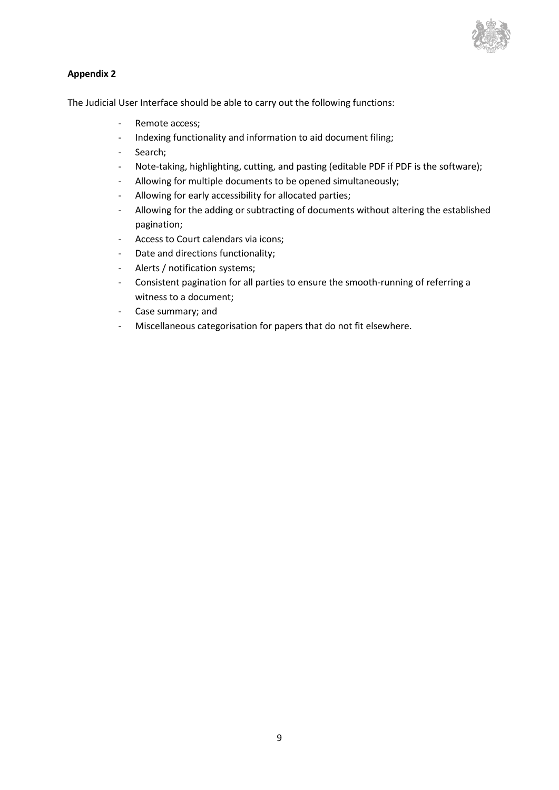

## **Appendix 2**

The Judicial User Interface should be able to carry out the following functions:

- Remote access;
- Indexing functionality and information to aid document filing;
- Search;
- Note-taking, highlighting, cutting, and pasting (editable PDF if PDF is the software);
- Allowing for multiple documents to be opened simultaneously;
- Allowing for early accessibility for allocated parties;
- Allowing for the adding or subtracting of documents without altering the established pagination;
- Access to Court calendars via icons;
- Date and directions functionality;
- Alerts / notification systems;
- Consistent pagination for all parties to ensure the smooth-running of referring a witness to a document;
- Case summary; and
- Miscellaneous categorisation for papers that do not fit elsewhere.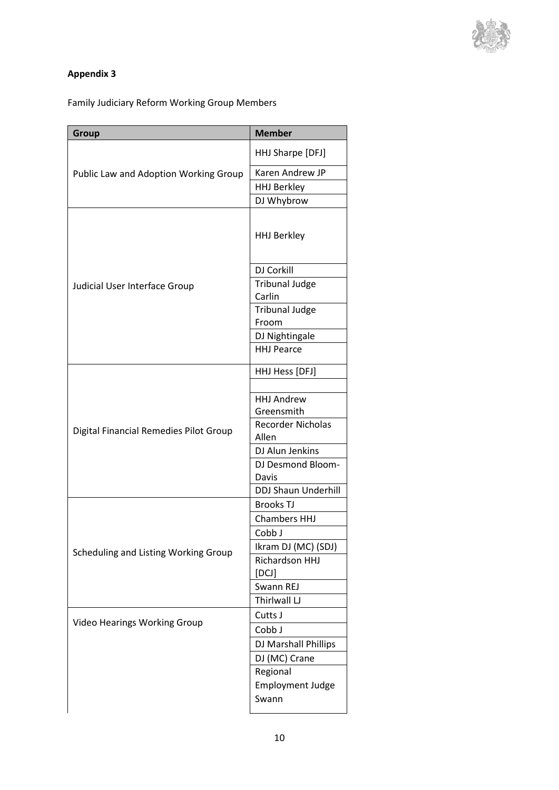

# **Appendix 3**

Family Judiciary Reform Working Group Members

| <b>Group</b>                           | <b>Member</b>                                               |
|----------------------------------------|-------------------------------------------------------------|
|                                        | HHJ Sharpe [DFJ]                                            |
| Public Law and Adoption Working Group  | Karen Andrew JP                                             |
|                                        | <b>HHJ Berkley</b>                                          |
|                                        | DJ Whybrow                                                  |
|                                        | <b>HHJ Berkley</b>                                          |
|                                        | DJ Corkill                                                  |
| Judicial User Interface Group          | <b>Tribunal Judge</b>                                       |
|                                        | Carlin                                                      |
|                                        | <b>Tribunal Judge</b>                                       |
|                                        | Froom                                                       |
|                                        | DJ Nightingale                                              |
|                                        | <b>HHJ Pearce</b>                                           |
|                                        | HHJ Hess [DFJ]                                              |
|                                        | <b>HHJ Andrew</b><br>Greensmith<br><b>Recorder Nicholas</b> |
| Digital Financial Remedies Pilot Group | Allen                                                       |
|                                        | DJ Alun Jenkins                                             |
|                                        | DJ Desmond Bloom-<br>Davis                                  |
|                                        | <b>DDJ Shaun Underhill</b>                                  |
|                                        | <b>Brooks TJ</b>                                            |
|                                        | <b>Chambers HHJ</b>                                         |
|                                        | Cobb J                                                      |
| Scheduling and Listing Working Group   | Ikram DJ (MC) (SDJ)<br>Richardson HHJ                       |
|                                        | [DCJ]                                                       |
|                                        | Swann REJ                                                   |
|                                        | Thirlwall LJ                                                |
|                                        | Cutts J                                                     |
| <b>Video Hearings Working Group</b>    | Cobb J                                                      |
|                                        | DJ Marshall Phillips                                        |
|                                        | DJ (MC) Crane                                               |
|                                        | Regional                                                    |
|                                        | <b>Employment Judge</b><br>Swann                            |
|                                        |                                                             |